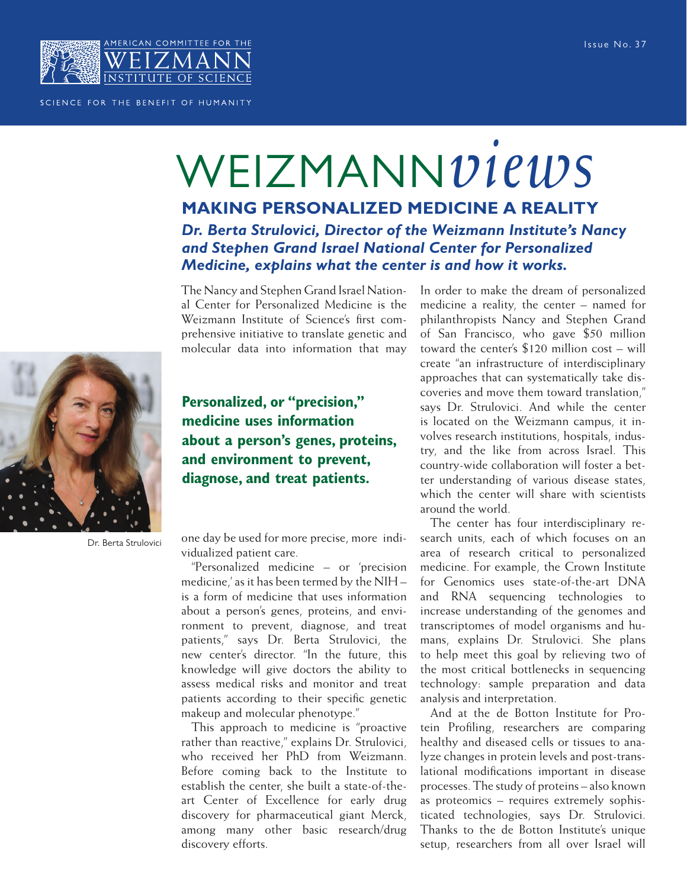

## SCIENCE FOR THE BENEFIT OF HUMANITY

## WEIZMANN*views*

**MAKING PERSONALIZED MEDICINE A REALITY** *Dr. Berta Strulovici, Director of the Weizmann Institute's Nancy and Stephen Grand Israel National Center for Personalized Medicine, explains what the center is and how it works.*

The Nancy and Stephen Grand Israel National Center for Personalized Medicine is the Weizmann Institute of Science's first comprehensive initiative to translate genetic and molecular data into information that may



**Personalized, or "precision," medicine uses information about a person's genes, proteins, and environment to prevent, diagnose, and treat patients.**

Dr. Berta Strulovici

one day be used for more precise, more individualized patient care.

"Personalized medicine – or 'precision medicine,' as it has been termed by the NIH – is a form of medicine that uses information about a person's genes, proteins, and environment to prevent, diagnose, and treat patients," says Dr. Berta Strulovici, the new center's director. "In the future, this knowledge will give doctors the ability to assess medical risks and monitor and treat patients according to their specific genetic makeup and molecular phenotype."

This approach to medicine is "proactive rather than reactive," explains Dr. Strulovici, who received her PhD from Weizmann. Before coming back to the Institute to establish the center, she built a state-of-theart Center of Excellence for early drug discovery for pharmaceutical giant Merck, among many other basic research/drug discovery efforts.

In order to make the dream of personalized medicine a reality, the center – named for philanthropists Nancy and Stephen Grand of San Francisco, who gave \$50 million toward the center's \$120 million cost – will create "an infrastructure of interdisciplinary approaches that can systematically take discoveries and move them toward translation," says Dr. Strulovici. And while the center is located on the Weizmann campus, it involves research institutions, hospitals, industry, and the like from across Israel. This country-wide collaboration will foster a better understanding of various disease states, which the center will share with scientists around the world.

 The center has four interdisciplinary research units, each of which focuses on an area of research critical to personalized medicine. For example, the Crown Institute for Genomics uses state-of-the-art DNA and RNA sequencing technologies to increase understanding of the genomes and transcriptomes of model organisms and humans, explains Dr. Strulovici. She plans to help meet this goal by relieving two of the most critical bottlenecks in sequencing technology: sample preparation and data analysis and interpretation.

And at the de Botton Institute for Protein Profiling, researchers are comparing healthy and diseased cells or tissues to analyze changes in protein levels and post-translational modifications important in disease processes. The study of proteins – also known as proteomics – requires extremely sophisticated technologies, says Dr. Strulovici. Thanks to the de Botton Institute's unique setup, researchers from all over Israel will